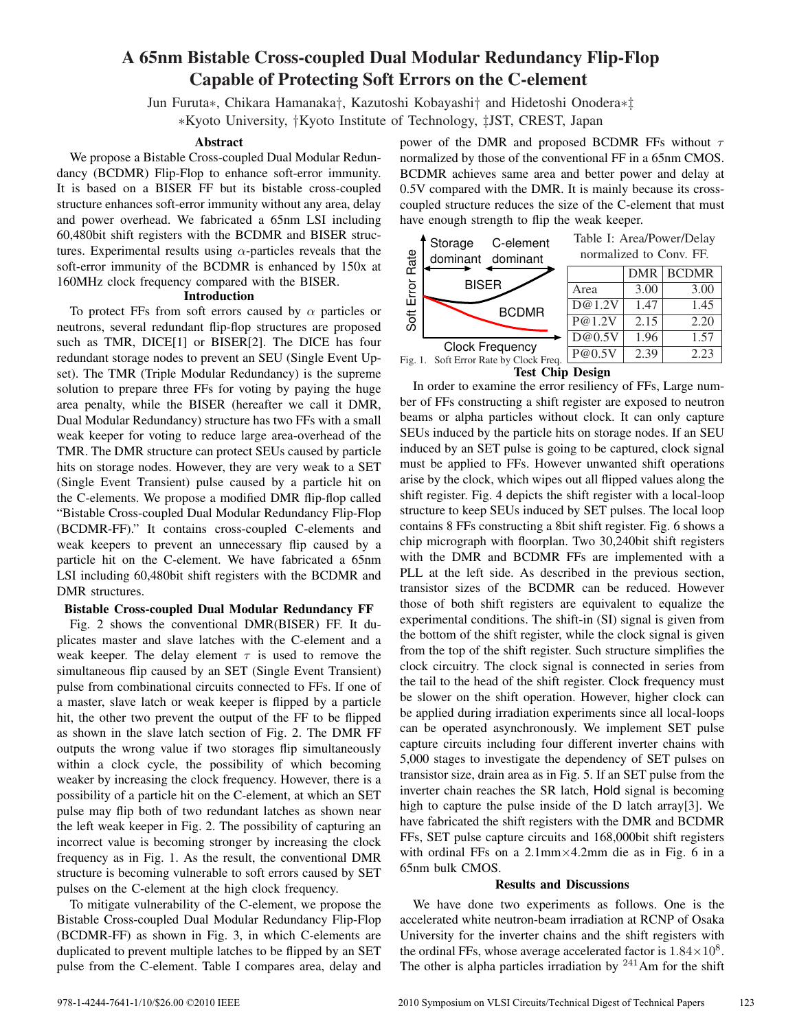# **A 65nm Bistable Cross-coupled Dual Modular Redundancy Flip-Flop Capable of Protecting Soft Errors on the C-element**

Jun Furuta*∗*, Chikara Hamanaka*†*, Kazutoshi Kobayashi*†* and Hidetoshi Onodera*∗‡ ∗*Kyoto University, *†*Kyoto Institute of Technology, *‡*JST, CREST, Japan

### **Abstract**

We propose a Bistable Cross-coupled Dual Modular Redundancy (BCDMR) Flip-Flop to enhance soft-error immunity. It is based on a BISER FF but its bistable cross-coupled structure enhances soft-error immunity without any area, delay and power overhead. We fabricated a 65nm LSI including 60,480bit shift registers with the BCDMR and BISER structures. Experimental results using *α*-particles reveals that the soft-error immunity of the BCDMR is enhanced by 150x at 160MHz clock frequency compared with the BISER.

### **Introduction**

To protect FFs from soft errors caused by *α* particles or neutrons, several redundant flip-flop structures are proposed such as TMR, DICE[1] or BISER[2]. The DICE has four redundant storage nodes to prevent an SEU (Single Event Upset). The TMR (Triple Modular Redundancy) is the supreme solution to prepare three FFs for voting by paying the huge area penalty, while the BISER (hereafter we call it DMR, Dual Modular Redundancy) structure has two FFs with a small weak keeper for voting to reduce large area-overhead of the TMR. The DMR structure can protect SEUs caused by particle hits on storage nodes. However, they are very weak to a SET (Single Event Transient) pulse caused by a particle hit on the C-elements. We propose a modified DMR flip-flop called "Bistable Cross-coupled Dual Modular Redundancy Flip-Flop (BCDMR-FF)." It contains cross-coupled C-elements and weak keepers to prevent an unnecessary flip caused by a particle hit on the C-element. We have fabricated a 65nm LSI including 60,480bit shift registers with the BCDMR and DMR structures.

## **Bistable Cross-coupled Dual Modular Redundancy FF**

Fig. 2 shows the conventional DMR(BISER) FF. It duplicates master and slave latches with the C-element and a weak keeper. The delay element  $\tau$  is used to remove the simultaneous flip caused by an SET (Single Event Transient) pulse from combinational circuits connected to FFs. If one of a master, slave latch or weak keeper is flipped by a particle hit, the other two prevent the output of the FF to be flipped as shown in the slave latch section of Fig. 2. The DMR FF outputs the wrong value if two storages flip simultaneously within a clock cycle, the possibility of which becoming weaker by increasing the clock frequency. However, there is a possibility of a particle hit on the C-element, at which an SET pulse may flip both of two redundant latches as shown near the left weak keeper in Fig. 2. The possibility of capturing an incorrect value is becoming stronger by increasing the clock frequency as in Fig. 1. As the result, the conventional DMR structure is becoming vulnerable to soft errors caused by SET pulses on the C-element at the high clock frequency.

To mitigate vulnerability of the C-element, we propose the Bistable Cross-coupled Dual Modular Redundancy Flip-Flop (BCDMR-FF) as shown in Fig. 3, in which C-elements are duplicated to prevent multiple latches to be flipped by an SET pulse from the C-element. Table I compares area, delay and power of the DMR and proposed BCDMR FFs without *τ* normalized by those of the conventional FF in a 65nm CMOS. BCDMR achieves same area and better power and delay at 0.5V compared with the DMR. It is mainly because its crosscoupled structure reduces the size of the C-element that must have enough strength to flip the weak keeper.



**Test Chip Design**

In order to examine the error resiliency of FFs, Large number of FFs constructing a shift register are exposed to neutron beams or alpha particles without clock. It can only capture SEUs induced by the particle hits on storage nodes. If an SEU induced by an SET pulse is going to be captured, clock signal must be applied to FFs. However unwanted shift operations arise by the clock, which wipes out all flipped values along the shift register. Fig. 4 depicts the shift register with a local-loop structure to keep SEUs induced by SET pulses. The local loop contains 8 FFs constructing a 8bit shift register. Fig. 6 shows a chip micrograph with floorplan. Two 30,240bit shift registers with the DMR and BCDMR FFs are implemented with a PLL at the left side. As described in the previous section, transistor sizes of the BCDMR can be reduced. However those of both shift registers are equivalent to equalize the experimental conditions. The shift-in (SI) signal is given from the bottom of the shift register, while the clock signal is given from the top of the shift register. Such structure simplifies the clock circuitry. The clock signal is connected in series from the tail to the head of the shift register. Clock frequency must be slower on the shift operation. However, higher clock can be applied during irradiation experiments since all local-loops can be operated asynchronously. We implement SET pulse capture circuits including four different inverter chains with 5,000 stages to investigate the dependency of SET pulses on transistor size, drain area as in Fig. 5. If an SET pulse from the inverter chain reaches the SR latch, Hold signal is becoming high to capture the pulse inside of the D latch array[3]. We have fabricated the shift registers with the DMR and BCDMR FFs, SET pulse capture circuits and 168,000bit shift registers with ordinal FFs on a 2.1mm*×*4.2mm die as in Fig. 6 in a 65nm bulk CMOS.

#### **Results and Discussions**

We have done two experiments as follows. One is the accelerated white neutron-beam irradiation at RCNP of Osaka University for the inverter chains and the shift registers with the ordinal FFs, whose average accelerated factor is  $1.84 \times 10^8$ . The other is alpha particles irradiation by  $241$  Am for the shift